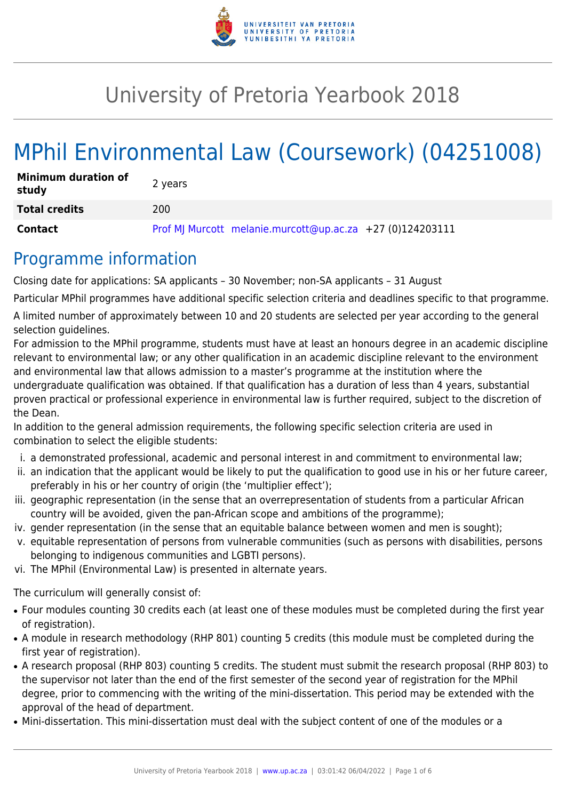

# University of Pretoria Yearbook 2018

# MPhil Environmental Law (Coursework) (04251008)

| <b>Minimum duration of</b><br>study | 2 years                                                   |
|-------------------------------------|-----------------------------------------------------------|
| <b>Total credits</b>                | 200                                                       |
| Contact                             | Prof MJ Murcott melanie.murcott@up.ac.za +27 (0)124203111 |

### Programme information

Closing date for applications: SA applicants – 30 November; non-SA applicants – 31 August

Particular MPhil programmes have additional specific selection criteria and deadlines specific to that programme.

A limited number of approximately between 10 and 20 students are selected per year according to the general selection guidelines.

For admission to the MPhil programme, students must have at least an honours degree in an academic discipline relevant to environmental law; or any other qualification in an academic discipline relevant to the environment and environmental law that allows admission to a master's programme at the institution where the undergraduate qualification was obtained. If that qualification has a duration of less than 4 years, substantial proven practical or professional experience in environmental law is further required, subject to the discretion of the Dean.

In addition to the general admission requirements, the following specific selection criteria are used in combination to select the eligible students:

- i. a demonstrated professional, academic and personal interest in and commitment to environmental law;
- ii. an indication that the applicant would be likely to put the qualification to good use in his or her future career, preferably in his or her country of origin (the 'multiplier effect');
- iii. geographic representation (in the sense that an overrepresentation of students from a particular African country will be avoided, given the pan-African scope and ambitions of the programme);
- iv. gender representation (in the sense that an equitable balance between women and men is sought);
- v. equitable representation of persons from vulnerable communities (such as persons with disabilities, persons belonging to indigenous communities and LGBTI persons).
- vi. The MPhil (Environmental Law) is presented in alternate years.

The curriculum will generally consist of:

- Four modules counting 30 credits each (at least one of these modules must be completed during the first year of registration).
- A module in research methodology (RHP 801) counting 5 credits (this module must be completed during the first year of registration).
- A research proposal (RHP 803) counting 5 credits. The student must submit the research proposal (RHP 803) to the supervisor not later than the end of the first semester of the second year of registration for the MPhil degree, prior to commencing with the writing of the mini-dissertation. This period may be extended with the approval of the head of department.
- Mini-dissertation. This mini-dissertation must deal with the subject content of one of the modules or a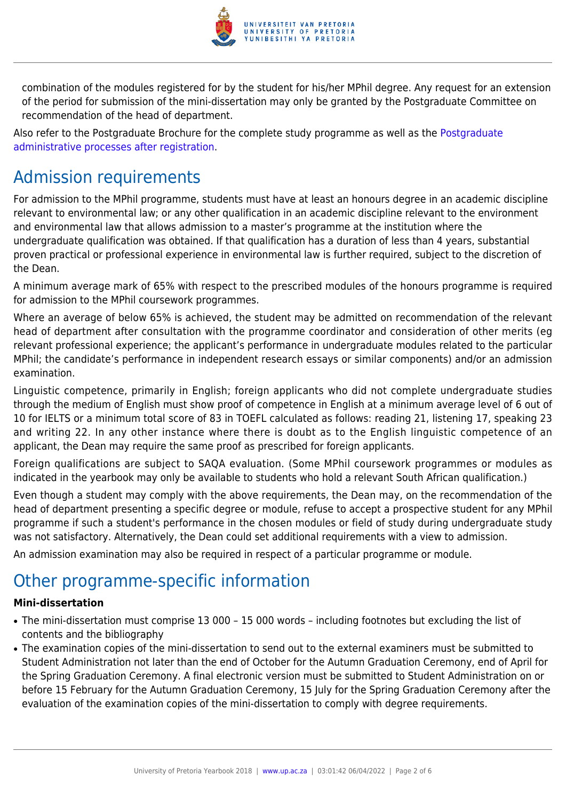

combination of the modules registered for by the student for his/her MPhil degree. Any request for an extension of the period for submission of the mini-dissertation may only be granted by the Postgraduate Committee on recommendation of the head of department.

Also refer to the Postgraduate Brochure for the complete study programme as well as the [Postgraduate](http://www.up.ac.za/media/shared/10/ZP_Files/post-graduate-administrative-processes-brochures-for-the-faculty-web.zp124870.pdf) [administrative processes after registration.](http://www.up.ac.za/media/shared/10/ZP_Files/post-graduate-administrative-processes-brochures-for-the-faculty-web.zp124870.pdf)

# Admission requirements

For admission to the MPhil programme, students must have at least an honours degree in an academic discipline relevant to environmental law; or any other qualification in an academic discipline relevant to the environment and environmental law that allows admission to a master's programme at the institution where the undergraduate qualification was obtained. If that qualification has a duration of less than 4 years, substantial proven practical or professional experience in environmental law is further required, subject to the discretion of the Dean.

A minimum average mark of 65% with respect to the prescribed modules of the honours programme is required for admission to the MPhil coursework programmes.

Where an average of below 65% is achieved, the student may be admitted on recommendation of the relevant head of department after consultation with the programme coordinator and consideration of other merits (eg relevant professional experience; the applicant's performance in undergraduate modules related to the particular MPhil; the candidate's performance in independent research essays or similar components) and/or an admission examination.

Linguistic competence, primarily in English; foreign applicants who did not complete undergraduate studies through the medium of English must show proof of competence in English at a minimum average level of 6 out of 10 for IELTS or a minimum total score of 83 in TOEFL calculated as follows: reading 21, listening 17, speaking 23 and writing 22. In any other instance where there is doubt as to the English linguistic competence of an applicant, the Dean may require the same proof as prescribed for foreign applicants.

Foreign qualifications are subject to SAQA evaluation. (Some MPhil coursework programmes or modules as indicated in the yearbook may only be available to students who hold a relevant South African qualification.)

Even though a student may comply with the above requirements, the Dean may, on the recommendation of the head of department presenting a specific degree or module, refuse to accept a prospective student for any MPhil programme if such a student's performance in the chosen modules or field of study during undergraduate study was not satisfactory. Alternatively, the Dean could set additional requirements with a view to admission.

An admission examination may also be required in respect of a particular programme or module.

# Other programme-specific information

### **Mini-dissertation**

- The mini-dissertation must comprise 13 000 15 000 words including footnotes but excluding the list of contents and the bibliography
- The examination copies of the mini-dissertation to send out to the external examiners must be submitted to Student Administration not later than the end of October for the Autumn Graduation Ceremony, end of April for the Spring Graduation Ceremony. A final electronic version must be submitted to Student Administration on or before 15 February for the Autumn Graduation Ceremony, 15 July for the Spring Graduation Ceremony after the evaluation of the examination copies of the mini-dissertation to comply with degree requirements.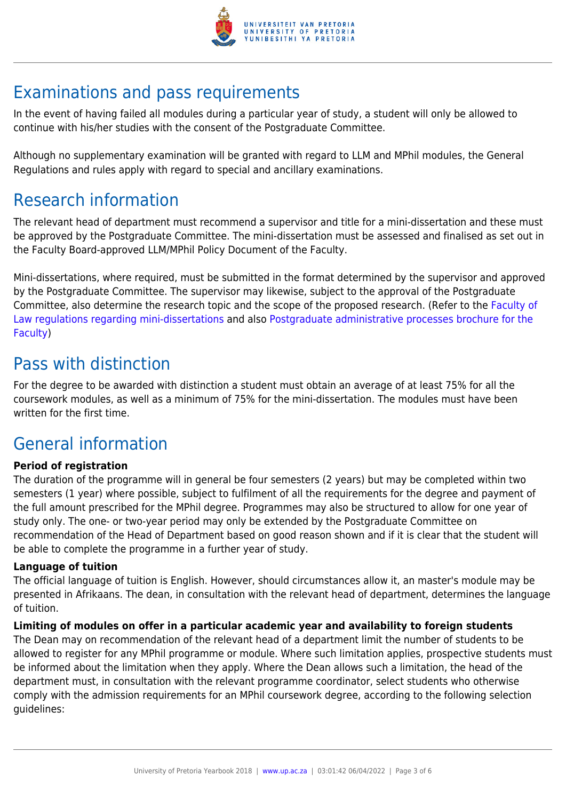

# Examinations and pass requirements

In the event of having failed all modules during a particular year of study, a student will only be allowed to continue with his/her studies with the consent of the Postgraduate Committee.

Although no supplementary examination will be granted with regard to LLM and MPhil modules, the General Regulations and rules apply with regard to special and ancillary examinations.

# Research information

The relevant head of department must recommend a supervisor and title for a mini-dissertation and these must be approved by the Postgraduate Committee. The mini-dissertation must be assessed and finalised as set out in the Faculty Board-approved LLM/MPhil Policy Document of the Faculty.

Mini-dissertations, where required, must be submitted in the format determined by the supervisor and approved by the Postgraduate Committee. The supervisor may likewise, subject to the approval of the Postgraduate Committee, also determine the research topic and the scope of the proposed research. (Refer to the [Faculty of](http://www.up.ac.za/media/shared/10/ZP_Files/faculty-regulations-for-the-mini-dissertation.zp124872.pdf) [Law regulations regarding mini-dissertations](http://www.up.ac.za/media/shared/10/ZP_Files/faculty-regulations-for-the-mini-dissertation.zp124872.pdf) and also [Postgraduate administrative processes brochure for the](http://www.up.ac.za/media/shared/10/ZP_Files/post-graduate-administrative-processes-brochures-for-the-faculty-web.zp124870.pdf) [Faculty](http://www.up.ac.za/media/shared/10/ZP_Files/post-graduate-administrative-processes-brochures-for-the-faculty-web.zp124870.pdf))

### Pass with distinction

For the degree to be awarded with distinction a student must obtain an average of at least 75% for all the coursework modules, as well as a minimum of 75% for the mini-dissertation. The modules must have been written for the first time.

# General information

### **Period of registration**

The duration of the programme will in general be four semesters (2 years) but may be completed within two semesters (1 year) where possible, subject to fulfilment of all the requirements for the degree and payment of the full amount prescribed for the MPhil degree. Programmes may also be structured to allow for one year of study only. The one- or two-year period may only be extended by the Postgraduate Committee on recommendation of the Head of Department based on good reason shown and if it is clear that the student will be able to complete the programme in a further year of study.

### **Language of tuition**

The official language of tuition is English. However, should circumstances allow it, an master's module may be presented in Afrikaans. The dean, in consultation with the relevant head of department, determines the language of tuition.

### **Limiting of modules on offer in a particular academic year and availability to foreign students**

The Dean may on recommendation of the relevant head of a department limit the number of students to be allowed to register for any MPhil programme or module. Where such limitation applies, prospective students must be informed about the limitation when they apply. Where the Dean allows such a limitation, the head of the department must, in consultation with the relevant programme coordinator, select students who otherwise comply with the admission requirements for an MPhil coursework degree, according to the following selection guidelines: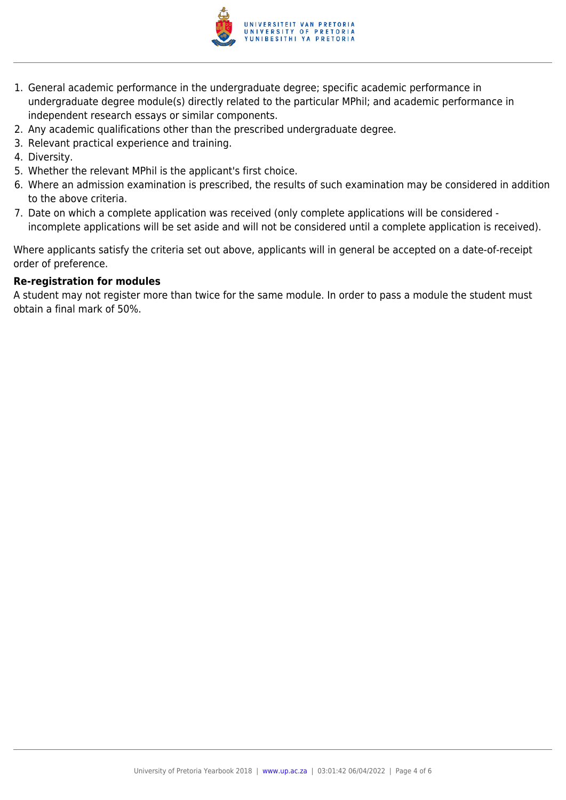

- 1. General academic performance in the undergraduate degree; specific academic performance in undergraduate degree module(s) directly related to the particular MPhil; and academic performance in independent research essays or similar components.
- 2. Any academic qualifications other than the prescribed undergraduate degree.
- 3. Relevant practical experience and training.
- 4. Diversity.
- 5. Whether the relevant MPhil is the applicant's first choice.
- 6. Where an admission examination is prescribed, the results of such examination may be considered in addition to the above criteria.
- 7. Date on which a complete application was received (only complete applications will be considered incomplete applications will be set aside and will not be considered until a complete application is received).

Where applicants satisfy the criteria set out above, applicants will in general be accepted on a date-of-receipt order of preference.

#### **Re-registration for modules**

A student may not register more than twice for the same module. In order to pass a module the student must obtain a final mark of 50%.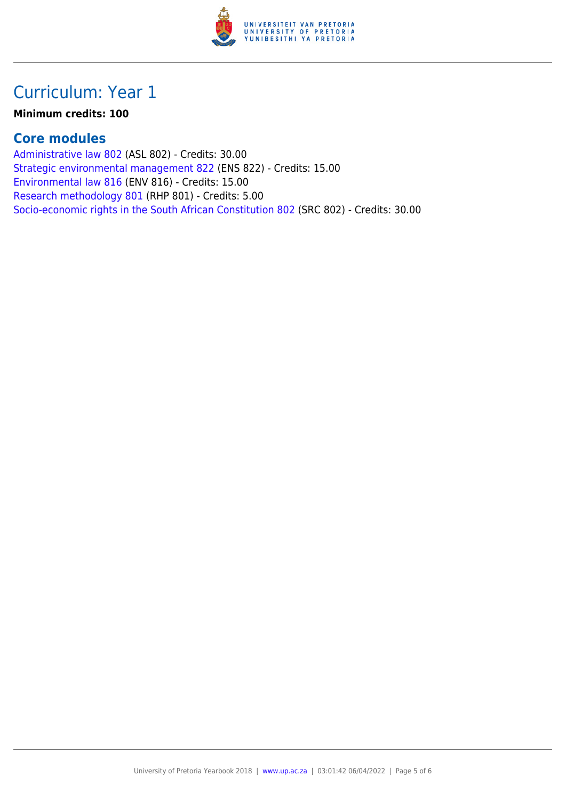

## Curriculum: Year 1

#### **Minimum credits: 100**

### **Core modules**

[Administrative law 802](https://www.up.ac.za/yearbooks/2018/modules/view/ASL 802) (ASL 802) - Credits: 30.00 [Strategic environmental management 822](https://www.up.ac.za/yearbooks/2018/modules/view/ENS 822) (ENS 822) - Credits: 15.00 [Environmental law 816](https://www.up.ac.za/yearbooks/2018/modules/view/ENV 816) (ENV 816) - Credits: 15.00 [Research methodology 801](https://www.up.ac.za/yearbooks/2018/modules/view/RHP 801) (RHP 801) - Credits: 5.00 [Socio-economic rights in the South African Constitution 802](https://www.up.ac.za/yearbooks/2018/modules/view/SRC 802) (SRC 802) - Credits: 30.00